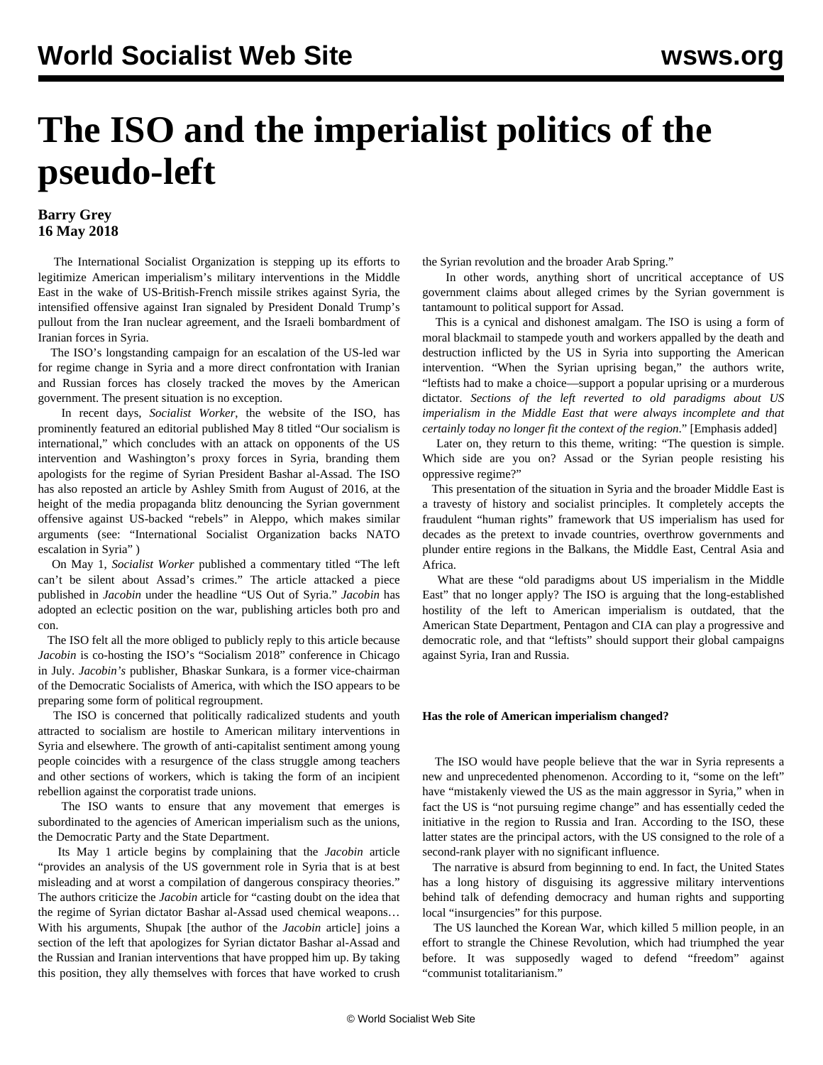# **The ISO and the imperialist politics of the pseudo-left**

## **Barry Grey 16 May 2018**

 The International Socialist Organization is stepping up its efforts to legitimize American imperialism's military interventions in the Middle East in the wake of US-British-French missile strikes against Syria, the intensified offensive against Iran signaled by President Donald Trump's pullout from the Iran nuclear agreement, and the Israeli bombardment of Iranian forces in Syria.

 The ISO's longstanding campaign for an escalation of the US-led war for regime change in Syria and a more direct confrontation with Iranian and Russian forces has closely tracked the moves by the American government. The present situation is no exception.

 In recent days, *Socialist Worker*, the website of the ISO, has prominently featured an editorial published May 8 titled "Our socialism is international," which concludes with an attack on opponents of the US intervention and Washington's proxy forces in Syria, branding them apologists for the regime of Syrian President Bashar al-Assad. The ISO has also reposted an article by Ashley Smith from August of 2016, at the height of the media propaganda blitz denouncing the Syrian government offensive against US-backed "rebels" in Aleppo, which makes similar arguments (see: ["International Socialist Organization backs NATO](/en/articles/2016/09/21/isos-s21.html) [escalation in Syria"](/en/articles/2016/09/21/isos-s21.html) )

 On May 1, *Socialist Worker* published a commentary titled "The left can't be silent about Assad's crimes." The article attacked a piece published in *Jacobin* under the headline "US Out of Syria." *Jacobin* has adopted an eclectic position on the war, publishing articles both pro and con.

 The ISO felt all the more obliged to publicly reply to this article because *Jacobin* is co-hosting the ISO's "Socialism 2018" conference in Chicago in July. *Jacobin's* publisher, Bhaskar Sunkara, is a former vice-chairman of the Democratic Socialists of America, with which the ISO appears to be preparing some form of political regroupment.

 The ISO is concerned that politically radicalized students and youth attracted to socialism are hostile to American military interventions in Syria and elsewhere. The growth of anti-capitalist sentiment among young people coincides with a resurgence of the class struggle among teachers and other sections of workers, which is taking the form of an incipient rebellion against the corporatist trade unions.

 The ISO wants to ensure that any movement that emerges is subordinated to the agencies of American imperialism such as the unions, the Democratic Party and the State Department.

 Its May 1 article begins by complaining that the *Jacobin* article "provides an analysis of the US government role in Syria that is at best misleading and at worst a compilation of dangerous conspiracy theories." The authors criticize the *Jacobin* article for "casting doubt on the idea that the regime of Syrian dictator Bashar al-Assad used chemical weapons… With his arguments, Shupak [the author of the *Jacobin* article] joins a section of the left that apologizes for Syrian dictator Bashar al-Assad and the Russian and Iranian interventions that have propped him up. By taking this position, they ally themselves with forces that have worked to crush

the Syrian revolution and the broader Arab Spring."

 In other words, anything short of uncritical acceptance of US government claims about alleged crimes by the Syrian government is tantamount to political support for Assad.

 This is a cynical and dishonest amalgam. The ISO is using a form of moral blackmail to stampede youth and workers appalled by the death and destruction inflicted by the US in Syria into supporting the American intervention. "When the Syrian uprising began," the authors write, "leftists had to make a choice—support a popular uprising or a murderous dictator. *Sections of the left reverted to old paradigms about US imperialism in the Middle East that were always incomplete and that certainly today no longer fit the context of the region*." [Emphasis added]

 Later on, they return to this theme, writing: "The question is simple. Which side are you on? Assad or the Syrian people resisting his oppressive regime?"

 This presentation of the situation in Syria and the broader Middle East is a travesty of history and socialist principles. It completely accepts the fraudulent "human rights" framework that US imperialism has used for decades as the pretext to invade countries, overthrow governments and plunder entire regions in the Balkans, the Middle East, Central Asia and Africa.

 What are these "old paradigms about US imperialism in the Middle East" that no longer apply? The ISO is arguing that the long-established hostility of the left to American imperialism is outdated, that the American State Department, Pentagon and CIA can play a progressive and democratic role, and that "leftists" should support their global campaigns against Syria, Iran and Russia.

### **Has the role of American imperialism changed?**

 The ISO would have people believe that the war in Syria represents a new and unprecedented phenomenon. According to it, "some on the left" have "mistakenly viewed the US as the main aggressor in Syria," when in fact the US is "not pursuing regime change" and has essentially ceded the initiative in the region to Russia and Iran. According to the ISO, these latter states are the principal actors, with the US consigned to the role of a second-rank player with no significant influence.

 The narrative is absurd from beginning to end. In fact, the United States has a long history of disguising its aggressive military interventions behind talk of defending democracy and human rights and supporting local "insurgencies" for this purpose.

 The US launched the Korean War, which killed 5 million people, in an effort to strangle the Chinese Revolution, which had triumphed the year before. It was supposedly waged to defend "freedom" against "communist totalitarianism."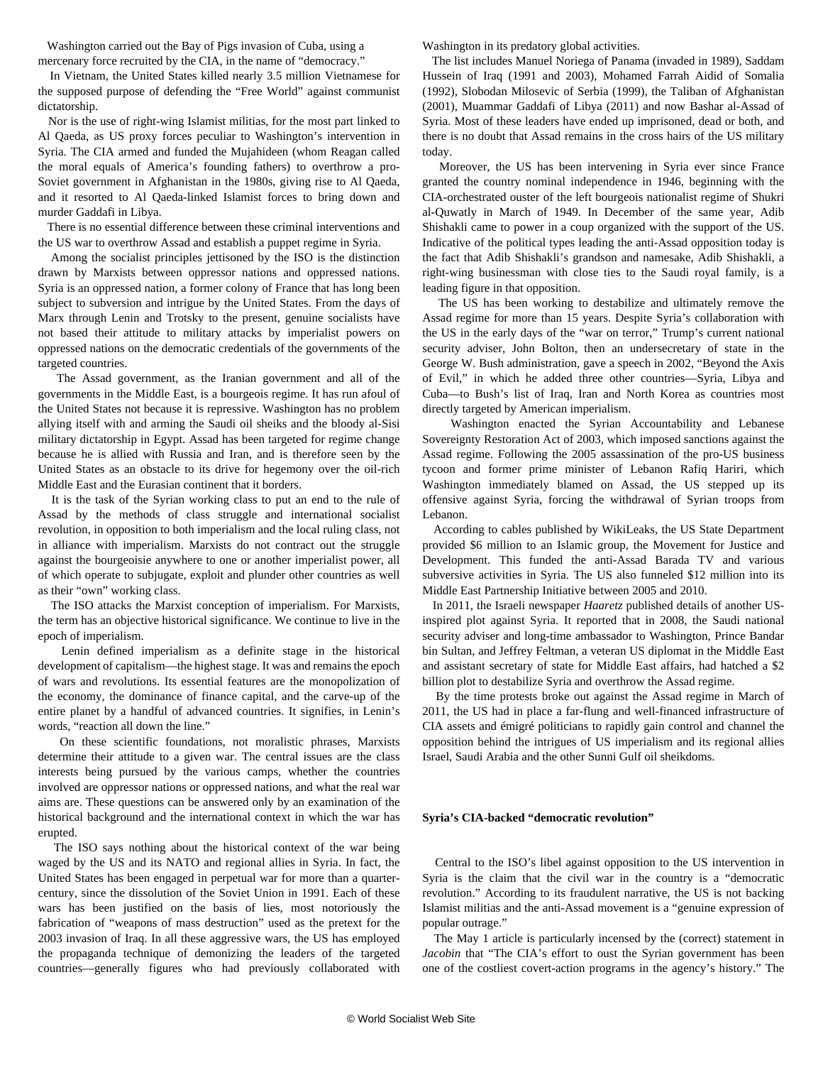Washington carried out the Bay of Pigs invasion of Cuba, using a mercenary force recruited by the CIA, in the name of "democracy."

 In Vietnam, the United States killed nearly 3.5 million Vietnamese for the supposed purpose of defending the "Free World" against communist dictatorship.

 Nor is the use of right-wing Islamist militias, for the most part linked to Al Qaeda, as US proxy forces peculiar to Washington's intervention in Syria. The CIA armed and funded the Mujahideen (whom Reagan called the moral equals of America's founding fathers) to overthrow a pro-Soviet government in Afghanistan in the 1980s, giving rise to Al Qaeda, and it resorted to Al Qaeda-linked Islamist forces to bring down and murder Gaddafi in Libya.

 There is no essential difference between these criminal interventions and the US war to overthrow Assad and establish a puppet regime in Syria.

 Among the socialist principles jettisoned by the ISO is the distinction drawn by Marxists between oppressor nations and oppressed nations. Syria is an oppressed nation, a former colony of France that has long been subject to subversion and intrigue by the United States. From the days of Marx through Lenin and Trotsky to the present, genuine socialists have not based their attitude to military attacks by imperialist powers on oppressed nations on the democratic credentials of the governments of the targeted countries.

 The Assad government, as the Iranian government and all of the governments in the Middle East, is a bourgeois regime. It has run afoul of the United States not because it is repressive. Washington has no problem allying itself with and arming the Saudi oil sheiks and the bloody al-Sisi military dictatorship in Egypt. Assad has been targeted for regime change because he is allied with Russia and Iran, and is therefore seen by the United States as an obstacle to its drive for hegemony over the oil-rich Middle East and the Eurasian continent that it borders.

 It is the task of the Syrian working class to put an end to the rule of Assad by the methods of class struggle and international socialist revolution, in opposition to both imperialism and the local ruling class, not in alliance with imperialism. Marxists do not contract out the struggle against the bourgeoisie anywhere to one or another imperialist power, all of which operate to subjugate, exploit and plunder other countries as well as their "own" working class.

 The ISO attacks the Marxist conception of imperialism. For Marxists, the term has an objective historical significance. We continue to live in the epoch of imperialism.

 Lenin defined imperialism as a definite stage in the historical development of capitalism—the highest stage. It was and remains the epoch of wars and revolutions. Its essential features are the monopolization of the economy, the dominance of finance capital, and the carve-up of the entire planet by a handful of advanced countries. It signifies, in Lenin's words, "reaction all down the line."

 On these scientific foundations, not moralistic phrases, Marxists determine their attitude to a given war. The central issues are the class interests being pursued by the various camps, whether the countries involved are oppressor nations or oppressed nations, and what the real war aims are. These questions can be answered only by an examination of the historical background and the international context in which the war has erupted.

 The ISO says nothing about the historical context of the war being waged by the US and its NATO and regional allies in Syria. In fact, the United States has been engaged in perpetual war for more than a quartercentury, since the dissolution of the Soviet Union in 1991. Each of these wars has been justified on the basis of lies, most notoriously the fabrication of "weapons of mass destruction" used as the pretext for the 2003 invasion of Iraq. In all these aggressive wars, the US has employed the propaganda technique of demonizing the leaders of the targeted countries—generally figures who had previously collaborated with Washington in its predatory global activities.

 The list includes Manuel Noriega of Panama (invaded in 1989), Saddam Hussein of Iraq (1991 and 2003), Mohamed Farrah Aidid of Somalia (1992), Slobodan Milosevic of Serbia (1999), the Taliban of Afghanistan (2001), Muammar Gaddafi of Libya (2011) and now Bashar al-Assad of Syria. Most of these leaders have ended up imprisoned, dead or both, and there is no doubt that Assad remains in the cross hairs of the US military today.

 Moreover, the US has been intervening in Syria ever since France granted the country nominal independence in 1946, beginning with the CIA-orchestrated ouster of the left bourgeois nationalist regime of Shukri al-Quwatly in March of 1949. In December of the same year, Adib Shishakli came to power in a coup organized with the support of the US. Indicative of the political types leading the anti-Assad opposition today is the fact that Adib Shishakli's grandson and namesake, Adib Shishakli, a right-wing businessman with close ties to the Saudi royal family, is a leading figure in that opposition.

 The US has been working to destabilize and ultimately remove the Assad regime for more than 15 years. Despite Syria's collaboration with the US in the early days of the "war on terror," Trump's current national security adviser, John Bolton, then an undersecretary of state in the George W. Bush administration, gave a speech in 2002, "Beyond the Axis of Evil," in which he added three other countries—Syria, Libya and Cuba—to Bush's list of Iraq, Iran and North Korea as countries most directly targeted by American imperialism.

 Washington enacted the Syrian Accountability and Lebanese Sovereignty Restoration Act of 2003, which imposed sanctions against the Assad regime. Following the 2005 assassination of the pro-US business tycoon and former prime minister of Lebanon Rafiq Hariri, which Washington immediately blamed on Assad, the US stepped up its offensive against Syria, forcing the withdrawal of Syrian troops from Lebanon.

 According to cables published by WikiLeaks, the US State Department provided \$6 million to an Islamic group, the Movement for Justice and Development. This funded the anti-Assad Barada TV and various subversive activities in Syria. The US also funneled \$12 million into its Middle East Partnership Initiative between 2005 and 2010.

 In 2011, the Israeli newspaper *Haaretz* published details of another USinspired plot against Syria. It reported that in 2008, the Saudi national security adviser and long-time ambassador to Washington, Prince Bandar bin Sultan, and Jeffrey Feltman, a veteran US diplomat in the Middle East and assistant secretary of state for Middle East affairs, had hatched a \$2 billion plot to destabilize Syria and overthrow the Assad regime.

 By the time protests broke out against the Assad regime in March of 2011, the US had in place a far-flung and well-financed infrastructure of CIA assets and émigré politicians to rapidly gain control and channel the opposition behind the intrigues of US imperialism and its regional allies Israel, Saudi Arabia and the other Sunni Gulf oil sheikdoms.

#### **Syria's CIA-backed "democratic revolution"**

 Central to the ISO's libel against opposition to the US intervention in Syria is the claim that the civil war in the country is a "democratic revolution." According to its fraudulent narrative, the US is not backing Islamist militias and the anti-Assad movement is a "genuine expression of popular outrage."

 The May 1 article is particularly incensed by the (correct) statement in *Jacobin* that "The CIA's effort to oust the Syrian government has been one of the costliest covert-action programs in the agency's history." The